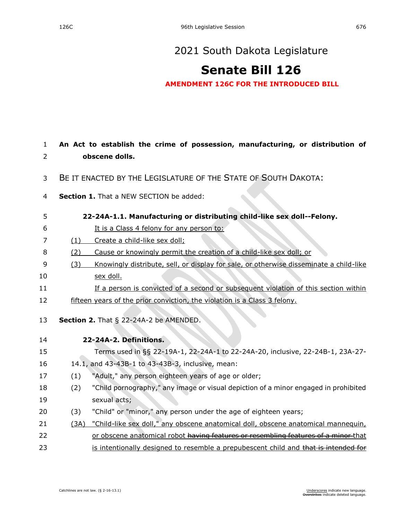## [2021 South Dakota Legislature](https://sdlegislature.gov/Session/Bills/44)

## **[Senate Bill 126](https://sdlegislature.gov/Session/Bill/22193)**

**AMENDMENT 126C FOR THE INTRODUCED BILL**

| $\mathbf{1}$ |                                                                | An Act to establish the crime of possession, manufacturing, or distribution of         |  |
|--------------|----------------------------------------------------------------|----------------------------------------------------------------------------------------|--|
| 2            |                                                                | obscene dolls.                                                                         |  |
| 3            | BE IT ENACTED BY THE LEGISLATURE OF THE STATE OF SOUTH DAKOTA: |                                                                                        |  |
| 4            |                                                                | Section 1. That a NEW SECTION be added:                                                |  |
| 5            |                                                                | 22-24A-1.1. Manufacturing or distributing child-like sex doll--Felony.                 |  |
| 6            |                                                                | It is a Class 4 felony for any person to:                                              |  |
| 7            | (1)                                                            | Create a child-like sex doll;                                                          |  |
| 8            | (2)                                                            | Cause or knowingly permit the creation of a child-like sex doll; or                    |  |
| 9            | (3)                                                            | Knowingly distribute, sell, or display for sale, or otherwise disseminate a child-like |  |
| 10           |                                                                | sex doll.                                                                              |  |
| 11           |                                                                | If a person is convicted of a second or subsequent violation of this section within    |  |
| 12           |                                                                | fifteen years of the prior conviction, the violation is a Class 3 felony.              |  |
| 13           |                                                                | Section 2. That § 22-24A-2 be AMENDED.                                                 |  |
| 14           |                                                                | 22-24A-2. Definitions.                                                                 |  |
| 15           |                                                                | Terms used in §§ 22-19A-1, 22-24A-1 to 22-24A-20, inclusive, 22-24B-1, 23A-27-         |  |
| 16           |                                                                | 14.1, and 43-43B-1 to 43-43B-3, inclusive, mean:                                       |  |
| 17           | (1)                                                            | "Adult," any person eighteen years of age or older;                                    |  |
| 18           | (2)                                                            | "Child pornography," any image or visual depiction of a minor engaged in prohibited    |  |
| 19           |                                                                | sexual acts;                                                                           |  |
| 20           | (3)                                                            | "Child" or "minor," any person under the age of eighteen years;                        |  |
| 21           | (3A)                                                           | "Child-like sex doll," any obscene anatomical doll, obscene anatomical mannequin,      |  |
| 22           |                                                                | or obscene anatomical robot having features or resembling features of a minor that     |  |
| 23           |                                                                | is intentionally designed to resemble a prepubescent child and that is intended for    |  |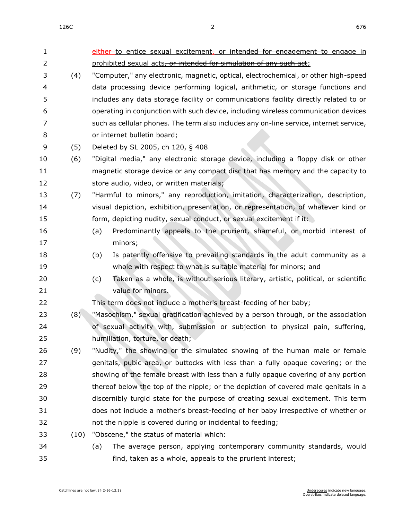1 either to entice sexual excitement, or intended for engagement to engage in 2 prohibited sexual acts, or intended for simulation of any such act; (4) "Computer," any electronic, magnetic, optical, electrochemical, or other high-speed data processing device performing logical, arithmetic, or storage functions and includes any data storage facility or communications facility directly related to or operating in conjunction with such device, including wireless communication devices such as cellular phones. The term also includes any on-line service, internet service, or internet bulletin board; (5) Deleted by SL 2005, ch 120, § 408 (6) "Digital media," any electronic storage device, including a floppy disk or other magnetic storage device or any compact disc that has memory and the capacity to store audio, video, or written materials; (7) "Harmful to minors," any reproduction, imitation, characterization, description, visual depiction, exhibition, presentation, or representation, of whatever kind or 15 form, depicting nudity, sexual conduct, or sexual excitement if it: (a) Predominantly appeals to the prurient, shameful, or morbid interest of minors; (b) Is patently offensive to prevailing standards in the adult community as a whole with respect to what is suitable material for minors; and (c) Taken as a whole, is without serious literary, artistic, political, or scientific 21 value for minors. This term does not include a mother's breast-feeding of her baby; (8) "Masochism," sexual gratification achieved by a person through, or the association of sexual activity with, submission or subjection to physical pain, suffering, humiliation, torture, or death; (9) "Nudity," the showing or the simulated showing of the human male or female genitals, pubic area, or buttocks with less than a fully opaque covering; or the showing of the female breast with less than a fully opaque covering of any portion thereof below the top of the nipple; or the depiction of covered male genitals in a discernibly turgid state for the purpose of creating sexual excitement. This term does not include a mother's breast-feeding of her baby irrespective of whether or not the nipple is covered during or incidental to feeding; (10) "Obscene," the status of material which: (a) The average person, applying contemporary community standards, would find, taken as a whole, appeals to the prurient interest;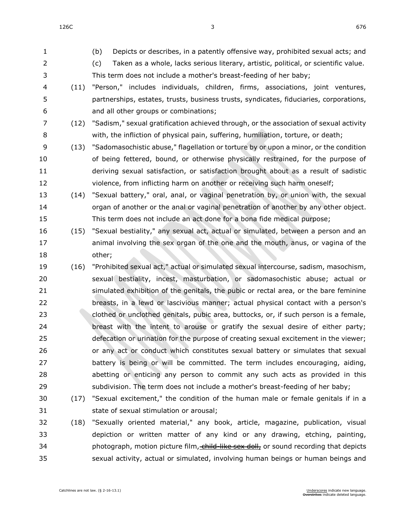$126C$  676

- (b) Depicts or describes, in a patently offensive way, prohibited sexual acts; and (c) Taken as a whole, lacks serious literary, artistic, political, or scientific value. This term does not include a mother's breast-feeding of her baby; (11) "Person," includes individuals, children, firms, associations, joint ventures, partnerships, estates, trusts, business trusts, syndicates, fiduciaries, corporations, and all other groups or combinations; (12) "Sadism," sexual gratification achieved through, or the association of sexual activity with, the infliction of physical pain, suffering, humiliation, torture, or death; (13) "Sadomasochistic abuse," flagellation or torture by or upon a minor, or the condition of being fettered, bound, or otherwise physically restrained, for the purpose of deriving sexual satisfaction, or satisfaction brought about as a result of sadistic violence, from inflicting harm on another or receiving such harm oneself; (14) "Sexual battery," oral, anal, or vaginal penetration by, or union with, the sexual organ of another or the anal or vaginal penetration of another by any other object. This term does not include an act done for a bona fide medical purpose; (15) "Sexual bestiality," any sexual act, actual or simulated, between a person and an animal involving the sex organ of the one and the mouth, anus, or vagina of the other; (16) "Prohibited sexual act," actual or simulated sexual intercourse, sadism, masochism, sexual bestiality, incest, masturbation, or sadomasochistic abuse; actual or simulated exhibition of the genitals, the pubic or rectal area, or the bare feminine breasts, in a lewd or lascivious manner; actual physical contact with a person's clothed or unclothed genitals, pubic area, buttocks, or, if such person is a female, breast with the intent to arouse or gratify the sexual desire of either party; defecation or urination for the purpose of creating sexual excitement in the viewer; or any act or conduct which constitutes sexual battery or simulates that sexual battery is being or will be committed. The term includes encouraging, aiding, abetting or enticing any person to commit any such acts as provided in this subdivision. The term does not include a mother's breast-feeding of her baby; (17) "Sexual excitement," the condition of the human male or female genitals if in a state of sexual stimulation or arousal; (18) "Sexually oriented material," any book, article, magazine, publication, visual depiction or written matter of any kind or any drawing, etching, painting, 34 photograph, motion picture film, child-like sex doll, or sound recording that depicts
- sexual activity, actual or simulated, involving human beings or human beings and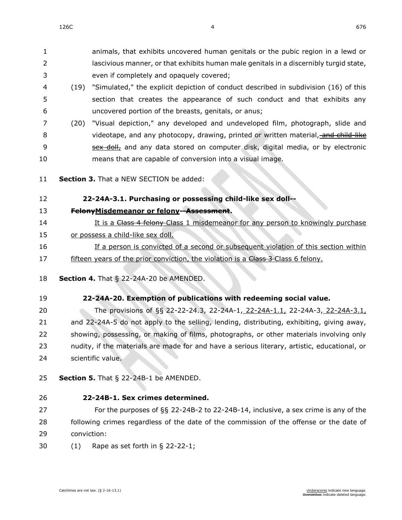animals, that exhibits uncovered human genitals or the pubic region in a lewd or lascivious manner, or that exhibits human male genitals in a discernibly turgid state, even if completely and opaquely covered;

- (19) "Simulated," the explicit depiction of conduct described in subdivision (16) of this section that creates the appearance of such conduct and that exhibits any uncovered portion of the breasts, genitals, or anus;
- (20) "Visual depiction," any developed and undeveloped film, photograph, slide and 8 videotape, and any photocopy, drawing, printed or written material, and child-like **Sex doll,** and any data stored on computer disk, digital media, or by electronic means that are capable of conversion into a visual image.
- **Section 3.** That a NEW SECTION be added:

## **22-24A-3.1. Purchasing or possessing child-like sex doll--**

- **FelonyMisdemeanor or felony--Assessment.**
- 14 It is a Chass 4 felony Class 1 misdemeanor for any person to knowingly purchase or possess a child-like sex doll.
- If a person is convicted of a second or subsequent violation of this section within 17 fifteen years of the prior conviction, the violation is a Class 3-Class 6 felony.
- **Section 4.** [That § 22-24A-20 be AMENDED.](https://sdlegislature.gov/Statutes/Codified_Laws/2047431)
- **[22-24A-20. E](https://sdlegislature.gov/Statutes/Codified_Laws/DisplayStatute.aspx?Type=Statute&Statute=22-24A-20)xemption of publications with redeeming social value.**

 The provisions of §§ [22-22-24.3,](https://sdlegislature.gov/Statutes/Codified_Laws/DisplayStatute.aspx?Type=Statute&Statute=22-22-24.3) [22-24A-1,](https://sdlegislature.gov/Statutes/Codified_Laws/DisplayStatute.aspx?Type=Statute&Statute=22-24A-1) 22-24A-1.1, [22-24A-3,](https://sdlegislature.gov/Statutes/Codified_Laws/DisplayStatute.aspx?Type=Statute&Statute=22-24A-3) 22-24A-3.1, and [22-24A-5](https://sdlegislature.gov/Statutes/Codified_Laws/DisplayStatute.aspx?Type=Statute&Statute=22-24A-5) do not apply to the selling, lending, distributing, exhibiting, giving away, showing, possessing, or making of films, photographs, or other materials involving only 23 nudity, if the materials are made for and have a serious literary, artistic, educational, or scientific value.

**Section 5.** [That § 22-24B-1 be AMENDED.](https://sdlegislature.gov/Statutes/Codified_Laws/2047434)

 **[22-24B-1. S](https://sdlegislature.gov/Statutes/Codified_Laws/DisplayStatute.aspx?Type=Statute&Statute=22-24B-1)ex crimes determined.** For the purposes of §§ [22-24B-2](https://sdlegislature.gov/Statutes/Codified_Laws/DisplayStatute.aspx?Type=Statute&Statute=22-24B-2) to [22-24B-14,](https://sdlegislature.gov/Statutes/Codified_Laws/DisplayStatute.aspx?Type=Statute&Statute=22-24B-14) inclusive, a sex crime is any of the

28 following crimes regardless of the date of the commission of the offense or the date of conviction:

(1) Rape as set forth in § [22-22-1;](https://sdlegislature.gov/Statutes/Codified_Laws/DisplayStatute.aspx?Type=Statute&Statute=22-22-1)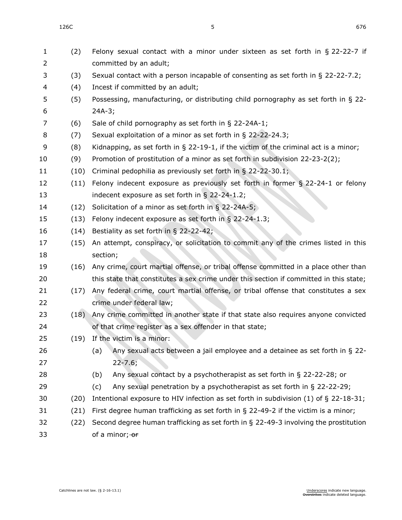| $\mathbf{1}$<br>$\overline{2}$ | (2)  | Felony sexual contact with a minor under sixteen as set forth in § 22-22-7 if<br>committed by an adult; |
|--------------------------------|------|---------------------------------------------------------------------------------------------------------|
| 3                              | (3)  | Sexual contact with a person incapable of consenting as set forth in $\S$ 22-22-7.2;                    |
| 4                              | (4)  | Incest if committed by an adult;                                                                        |
| 5                              | (5)  | Possessing, manufacturing, or distributing child pornography as set forth in § 22-                      |
| 6                              |      | $24A-3;$                                                                                                |
| 7                              | (6)  | Sale of child pornography as set forth in § 22-24A-1;                                                   |
| 8                              | (7)  | Sexual exploitation of a minor as set forth in § 22-22-24.3;                                            |
| 9                              | (8)  | Kidnapping, as set forth in $\S$ 22-19-1, if the victim of the criminal act is a minor;                 |
| 10                             | (9)  | Promotion of prostitution of a minor as set forth in subdivision 22-23-2(2);                            |
| 11                             | (10) | Criminal pedophilia as previously set forth in § 22-22-30.1;                                            |
| 12                             | (11) | Felony indecent exposure as previously set forth in former $\S$ 22-24-1 or felony                       |
| 13                             |      | indecent exposure as set forth in § 22-24-1.2;                                                          |
| 14                             | (12) | Solicitation of a minor as set forth in $\S$ 22-24A-5;                                                  |
| 15                             | (13) | Felony indecent exposure as set forth in § 22-24-1.3;                                                   |
| 16                             | (14) | Bestiality as set forth in § 22-22-42;                                                                  |
| 17                             | (15) | An attempt, conspiracy, or solicitation to commit any of the crimes listed in this                      |
| 18                             |      | section;                                                                                                |
| 19                             | (16) | Any crime, court martial offense, or tribal offense committed in a place other than                     |
| 20                             |      | this state that constitutes a sex crime under this section if committed in this state;                  |
| 21                             | (17) | Any federal crime, court martial offense, or tribal offense that constitutes a sex                      |
| 22                             |      | crime under federal law;                                                                                |
| 23                             | (18) | Any crime committed in another state if that state also requires anyone convicted                       |
| 24                             |      | of that crime register as a sex offender in that state;                                                 |
| 25                             |      | (19) If the victim is a minor:                                                                          |
| 26                             |      | Any sexual acts between a jail employee and a detainee as set forth in $\S$ 22-<br>(a)                  |
| 27                             |      | $22 - 7.6;$                                                                                             |
| 28                             |      | Any sexual contact by a psychotherapist as set forth in $\S$ 22-22-28; or<br>(b)                        |
| 29                             |      | Any sexual penetration by a psychotherapist as set forth in § 22-22-29;<br>(c)                          |
| 30                             | (20) | Intentional exposure to HIV infection as set forth in subdivision $(1)$ of § 22-18-31;                  |
| 31                             | (21) | First degree human trafficking as set forth in $\S$ 22-49-2 if the victim is a minor;                   |
| 32                             | (22) | Second degree human trafficking as set forth in $\S$ 22-49-3 involving the prostitution                 |
| 33                             |      | of a minor; or                                                                                          |